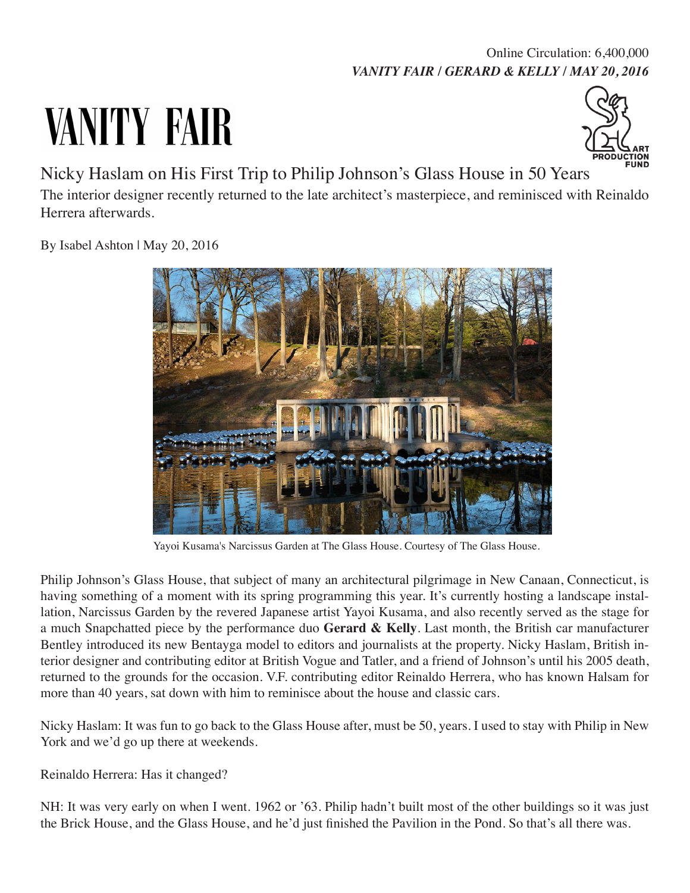## *VANITY FAIR / GERARD & KELLY / MAY 20, 2016* Online Circulation: 6,400,000

## VANITY FAIR



Nicky Haslam on His First Trip to Philip Johnson's Glass House in 50 Years

The interior designer recently returned to the late architect's masterpiece, and reminisced with Reinaldo Herrera afterwards.

By Isabel Ashton | May 20, 2016



Yayoi Kusama's Narcissus Garden at The Glass House. Courtesy of The Glass House.

Philip Johnson's Glass House, that subject of many an architectural pilgrimage in New Canaan, Connecticut, is having something of a moment with its spring programming this year. It's currently hosting a landscape installation, Narcissus Garden by the revered Japanese artist Yayoi Kusama, and also recently served as the stage for a much Snapchatted piece by the performance duo **Gerard & Kelly**. Last month, the British car manufacturer Bentley introduced its new Bentayga model to editors and journalists at the property. Nicky Haslam, British interior designer and contributing editor at British Vogue and Tatler, and a friend of Johnson's until his 2005 death, returned to the grounds for the occasion. V.F. contributing editor Reinaldo Herrera, who has known Halsam for more than 40 years, sat down with him to reminisce about the house and classic cars.

Nicky Haslam: It was fun to go back to the Glass House after, must be 50, years. I used to stay with Philip in New York and we'd go up there at weekends.

Reinaldo Herrera: Has it changed?

NH: It was very early on when I went. 1962 or '63. Philip hadn't built most of the other buildings so it was just the Brick House, and the Glass House, and he'd just finished the Pavilion in the Pond. So that's all there was.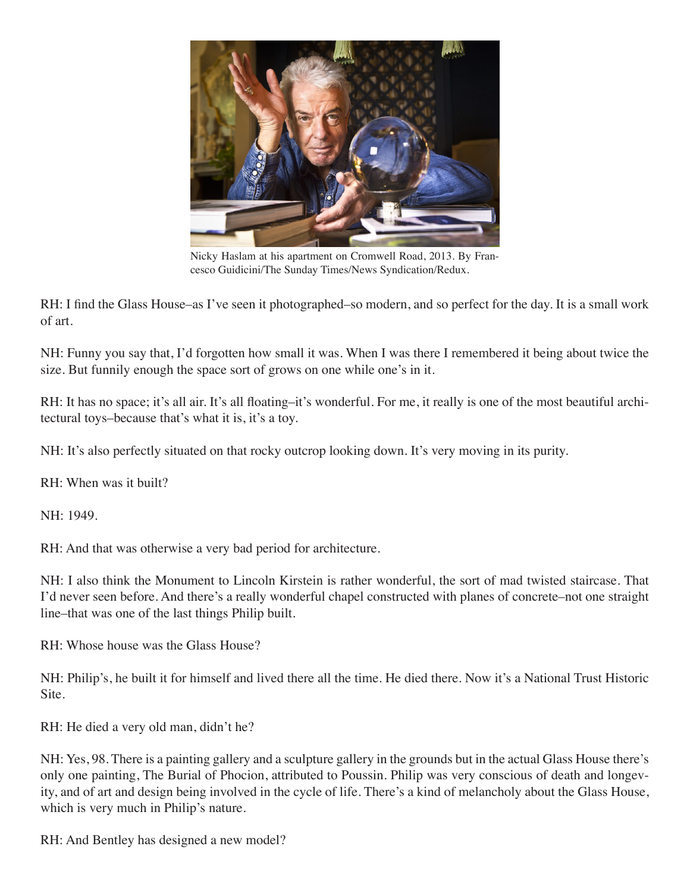

Nicky Haslam at his apartment on Cromwell Road, 2013. By Francesco Guidicini/The Sunday Times/News Syndication/Redux.

RH: I find the Glass House–as I've seen it photographed–so modern, and so perfect for the day. It is a small work of art.

NH: Funny you say that, I'd forgotten how small it was. When I was there I remembered it being about twice the size. But funnily enough the space sort of grows on one while one's in it.

RH: It has no space; it's all air. It's all floating–it's wonderful. For me, it really is one of the most beautiful architectural toys–because that's what it is, it's a toy.

NH: It's also perfectly situated on that rocky outcrop looking down. It's very moving in its purity.

RH: When was it built?

NH: 1949.

RH: And that was otherwise a very bad period for architecture.

NH: I also think the Monument to Lincoln Kirstein is rather wonderful, the sort of mad twisted staircase. That I'd never seen before. And there's a really wonderful chapel constructed with planes of concrete–not one straight line–that was one of the last things Philip built.

RH: Whose house was the Glass House?

NH: Philip's, he built it for himself and lived there all the time. He died there. Now it's a National Trust Historic Site.

RH: He died a very old man, didn't he?

NH: Yes, 98. There is a painting gallery and a sculpture gallery in the grounds but in the actual Glass House there's only one painting, The Burial of Phocion, attributed to Poussin. Philip was very conscious of death and longevity, and of art and design being involved in the cycle of life. There's a kind of melancholy about the Glass House, which is very much in Philip's nature.

RH: And Bentley has designed a new model?